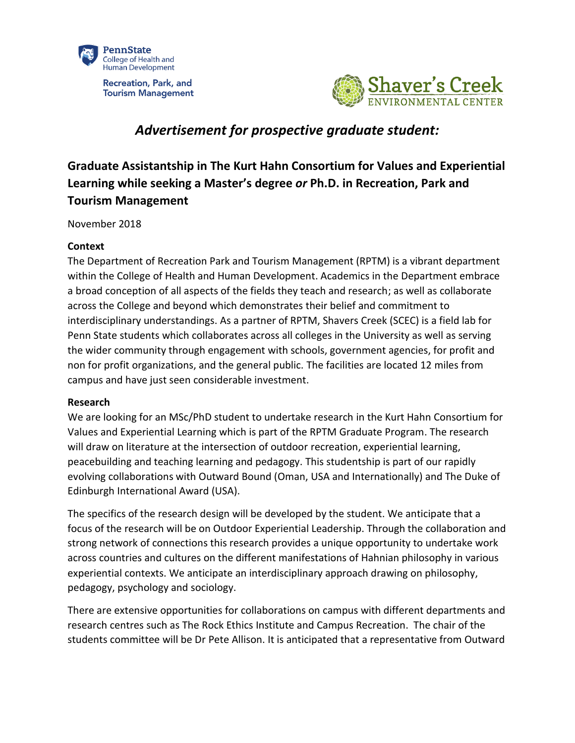

**Recreation, Park, and Tourism Management** 



# *Advertisement for prospective graduate student:*

# **Graduate Assistantship in The Kurt Hahn Consortium for Values and Experiential Learning while seeking a Master's degree** *or* **Ph.D. in Recreation, Park and Tourism Management**

November 2018

## **Context**

The Department of Recreation Park and Tourism Management (RPTM) is a vibrant department within the College of Health and Human Development. Academics in the Department embrace a broad conception of all aspects of the fields they teach and research; as well as collaborate across the College and beyond which demonstrates their belief and commitment to interdisciplinary understandings. As a partner of RPTM, Shavers Creek (SCEC) is a field lab for Penn State students which collaborates across all colleges in the University as well as serving the wider community through engagement with schools, government agencies, for profit and non for profit organizations, and the general public. The facilities are located 12 miles from campus and have just seen considerable investment.

#### **Research**

We are looking for an MSc/PhD student to undertake research in the Kurt Hahn Consortium for Values and Experiential Learning which is part of the RPTM Graduate Program. The research will draw on literature at the intersection of outdoor recreation, experiential learning, peacebuilding and teaching learning and pedagogy. This studentship is part of our rapidly evolving collaborations with Outward Bound (Oman, USA and Internationally) and The Duke of Edinburgh International Award (USA).

The specifics of the research design will be developed by the student. We anticipate that a focus of the research will be on Outdoor Experiential Leadership. Through the collaboration and strong network of connections this research provides a unique opportunity to undertake work across countries and cultures on the different manifestations of Hahnian philosophy in various experiential contexts. We anticipate an interdisciplinary approach drawing on philosophy, pedagogy, psychology and sociology.

There are extensive opportunities for collaborations on campus with different departments and research centres such as The Rock Ethics Institute and Campus Recreation. The chair of the students committee will be Dr Pete Allison. It is anticipated that a representative from Outward